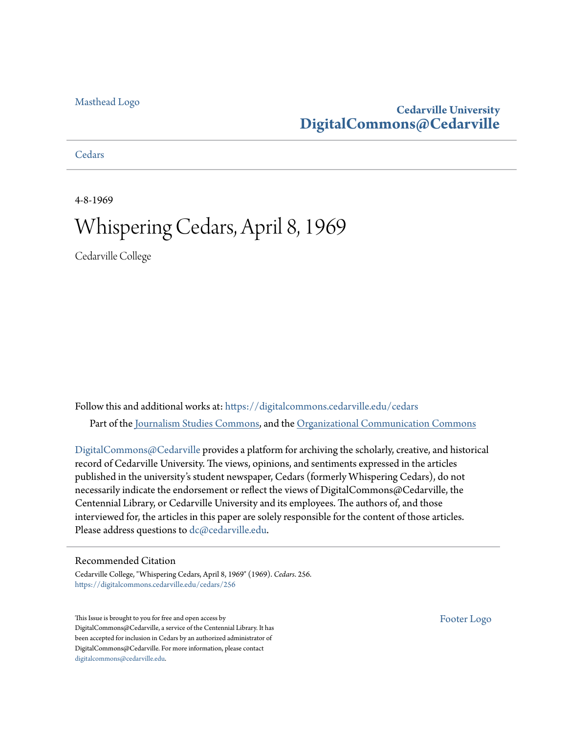### [Masthead Logo](http://www.cedarville.edu/?utm_source=digitalcommons.cedarville.edu%2Fcedars%2F256&utm_medium=PDF&utm_campaign=PDFCoverPages)

## **Cedarville University [DigitalCommons@Cedarville](https://digitalcommons.cedarville.edu?utm_source=digitalcommons.cedarville.edu%2Fcedars%2F256&utm_medium=PDF&utm_campaign=PDFCoverPages)**

**[Cedars](https://digitalcommons.cedarville.edu/cedars?utm_source=digitalcommons.cedarville.edu%2Fcedars%2F256&utm_medium=PDF&utm_campaign=PDFCoverPages)** 

4-8-1969

## Whispering Cedars, April 8, 1969

Cedarville College

Follow this and additional works at: [https://digitalcommons.cedarville.edu/cedars](https://digitalcommons.cedarville.edu/cedars?utm_source=digitalcommons.cedarville.edu%2Fcedars%2F256&utm_medium=PDF&utm_campaign=PDFCoverPages) Part of the [Journalism Studies Commons](http://network.bepress.com/hgg/discipline/333?utm_source=digitalcommons.cedarville.edu%2Fcedars%2F256&utm_medium=PDF&utm_campaign=PDFCoverPages), and the [Organizational Communication Commons](http://network.bepress.com/hgg/discipline/335?utm_source=digitalcommons.cedarville.edu%2Fcedars%2F256&utm_medium=PDF&utm_campaign=PDFCoverPages)

[DigitalCommons@Cedarville](http://digitalcommons.cedarville.edu/) provides a platform for archiving the scholarly, creative, and historical record of Cedarville University. The views, opinions, and sentiments expressed in the articles published in the university's student newspaper, Cedars (formerly Whispering Cedars), do not necessarily indicate the endorsement or reflect the views of DigitalCommons@Cedarville, the Centennial Library, or Cedarville University and its employees. The authors of, and those interviewed for, the articles in this paper are solely responsible for the content of those articles. Please address questions to [dc@cedarville.edu.](mailto:dc@cedarville.edu)

### Recommended Citation

Cedarville College, "Whispering Cedars, April 8, 1969" (1969). *Cedars*. 256. [https://digitalcommons.cedarville.edu/cedars/256](https://digitalcommons.cedarville.edu/cedars/256?utm_source=digitalcommons.cedarville.edu%2Fcedars%2F256&utm_medium=PDF&utm_campaign=PDFCoverPages)

This Issue is brought to you for free and open access by DigitalCommons@Cedarville, a service of the Centennial Library. It has been accepted for inclusion in Cedars by an authorized administrator of DigitalCommons@Cedarville. For more information, please contact [digitalcommons@cedarville.edu](mailto:digitalcommons@cedarville.edu).

[Footer Logo](http://www.cedarville.edu/Academics/Library.aspx?utm_source=digitalcommons.cedarville.edu%2Fcedars%2F256&utm_medium=PDF&utm_campaign=PDFCoverPages)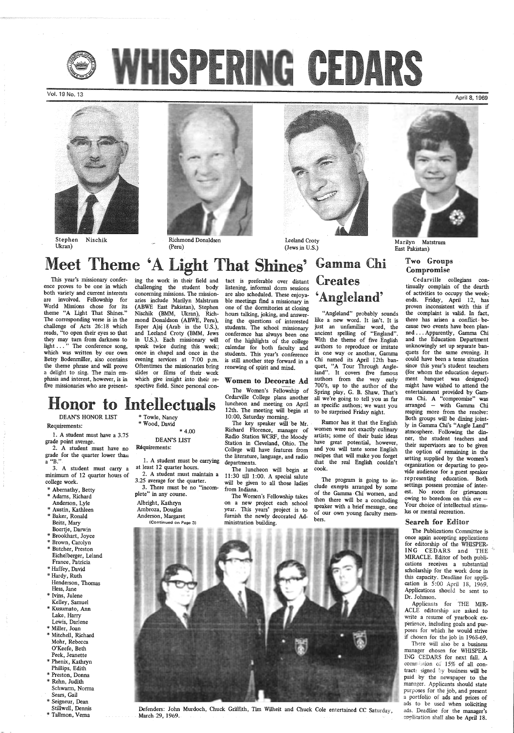

Vol. 19 No. 13



Stephen Nischik Ukran)



Richmond Donaldsen (Peru)



Leeland Croty (Jews in U.S.)

# Meet Theme 'A Light That Shines' Gamma Chi

## **Creates** 'Angleland'

"Angleland" probably sounds like a new word. It isn't. It is just an unfamiliar word, the ancient spelling of "England". With the theme of five English authors to reproduce or imitate in one way or another, Gamma Chi named its April 12th banquet, "A Tour Through Angleland". It covers five famous authors from the very early 700's, up to the author of the Spring play, G. B. Shaw. That's all we're going to tell you as far as specific authors; we want you<br>to be surprised Friday night.

The key speaker will be  $M_r$ . Rumor has it that the English chard Florence. manager of women were not exactly culinary Richard Florence, manager of women were not exactly culinary<br>Radio Station WCRF, the Moody artists; some of their basic ideas Radio Station WCRF, the Moody artists; some of their basic ideas<br>Station in Cleveland, Ohio. The have great potential, however, Station in Cleveland, Ohio. The have great potential, however, College will have features from and you will taste some English College will have features from and you will taste some English<br>the literature, language, and radio recipes that will make you forget departments. that the real English couldn't

Marilyn Matstrum East Pakistan)

April 8, 1969

## Two Groups Compromise

ing the work in their field and challenging the student body concerning missions. The mission aries include Marilyn Malstrum<br>(ABWE East Pakistan), Stephen Nischik (BMM, Ukran), Richmond Donaldson (ABWE, Peru), Esper Ajaj (Arab in the U.S.), and Leeland Croty (BMM, Jews in U.S.). Each missionary will speak twice during this week; once in chapel and once in the evening services at 7:00 p.m.<br>Oftentimes the missionaries bring slides or films of their work which give insight into their respective field. Since personal coning the work in their field and tact is preferable over distant<br>challenging the student body listening, informal dorm sessions<br>concerning missions. The mission-<br>are also scheduled. These enjoya-<br>ariss include Marilyn Mals

This year's missionary conference proves to be one in which both variety and current interests are involved. Fellowship for World Missions chose for its theme "A Light That Shines." The corresponding verse is in the challenge of Acts 26:18 which reads, "to open their eyes so that they may turn from darkness to light ... " The conference song, which was written by our own Betsy Bodenmiller, also contains the theme phrase and will prove a delight to sing. The main emphasis and interest, however, is in five missionaries who are present-

The Women's Fellowship of Cedarville College plans another luncheon and meeting on April 12th. The meeting will begin at 10:00, Saturday morning. To be surprised Friday night.<br>DEAN'S HONOR LIST  $\begin{array}{r} 12 \text{ m} \\ \text{m} \end{array}$  Towle, Nancy  $\begin{array}{r} 12 \text{ m} \\ \text{m} \end{array}$  at to be surprised Friday night.

## Honor to Intellectuals

The luncheon will begin at cook. 11:30 till 1:00. A special salute will be given to all those ladies from Indiana.

Requirements:

1. A student must have a 3.75 grade point average.

2. A student must have no grade for the quarter lower than a "B."

3. A student must carry a minimum of 12 quarter hours of college work.

> The Publications Committee is once again accepting applications for editorship of the WHISPER-ING CEDARS and THE MIRACLE. Editor of both publications receives a substantial scholarship for the work done in this capacity. Deadline for application is 5:00 April 18, 1969. Applications should be sent to Dr. Johnson. Applicants for THE MIR-ACLE editorship are asked to write a resume of yearbook experience, including goals and purposes for which he would strive if chosen for the job in 1968-69. There will also be a business manager chosen for WHISPER-ING CEDARS for next fall. A commission of 15% of all contracts signed by business will be paid by the newspaper to the manager. Applicants should state purposes for the job, and present a portfolio of ads and prices of ads to be used when soliciting ads. Deadline for the manager's application shall also be April 18.

- \* Abernathy, Betty \* Adams, Richard
- 
- 
- Anderson, Lyle \* Austin, Kathleen
- \* Baker, Ronald Beitz, Mary
- 
- 
- Eichelberger, Leland

Boertje, Darwin \* Brookhart, Joyce \* Brown, Carolyn \* Butcher, Preston

Cedarville collegians continually complain of the dearth of activities to occupy the weekends. Friday, April 12, has proven inconsistent with this if the complaint is valid. In fact, there has arisen a conflict because two events have been planned ... Apparently, Gamma Chi and the Education Department unknowingly set up separate banquets for the same evening. It could have been a tense situation since this year's student teachers (for whom the education department banquet was designed) might have wished to attend the entertainment provided by Gamma Chi. A "compromise" was arranged - with Gamma Chi reaping more from the resolve: Both groups will be dining jointly in Gamma Chi's "Angle Land" atmosphere. Following the dinner, the student teachers and their supervisors are to be given the option of remaining in the setting supplied by the women's organization or departing to provide audience for a guest speaker representing education. Both settings possess promise of interest. No room for grievances owing to boredom on this eve -Your choice of intellectual stimulus or mental recreation.

France, Patricia \* Haffey, David \* Hardy, Ruth Henderson, Thomas Hess, Jane \* Ivins, Julene Kelley, Samuel \* Kusumato, Ann Lake, Harry Lewis, Darlene \* Miller, Joan \* Mitchell, Richard Mohr, Rebecca O'Keefe, Beth Peek, Jeanette \* Phenix, Kathryn Phillips, Edith \* Preston, Donna \* Rehn, Judith Schwarm, Norma Sears, Gail \* Seigneur, Dean Stillwell, Dennis \* Tallmon, Verna



\* Towle, Nancy \* Wood, David \* 4.00 DEAN'S LIST

## Réquirements:

l. A student must be carrying at least 12 quarter hours. 2. A student must maintain a

3 .25 average for the quarter. 3. There must be no "incomplete" in any course.

Albright, Kathryn Ambroza, Douglas

Anderson, Margaret

(Continued on Page 3)

The Women's Fellowship takes on a new project each school year. This years' project is to furnish the newly decorated Administration building.

The program is going to include exerpts arranged by some of the Gamma -Chi women, and then there will be a concluding speaker with a brief message, one of our own young faculty members.



Defenders: John Murdoch, Chuck Griffith, Tim Wilheit and Chuck Cole entertained CC Saturday, March 29, 1969.

### Search for Editor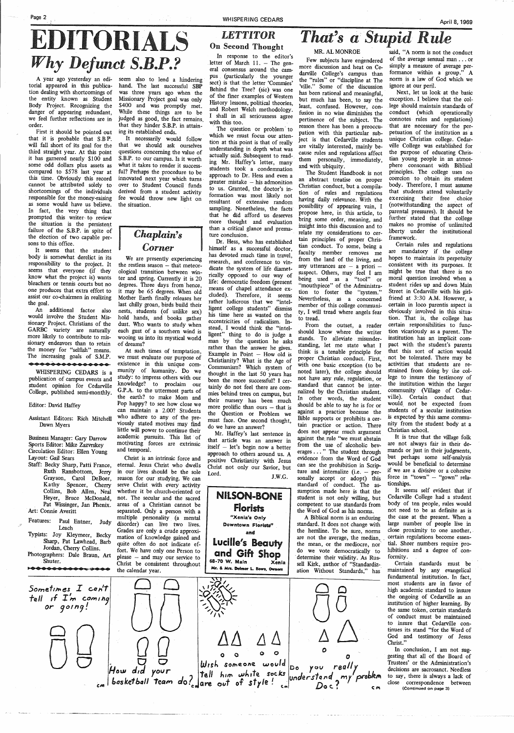# **EDITORIALS** *On Second Thought Rule MR. AL MONROE Stupid Rule* Why Defunct S.B.P.? **In response to the editor's** . 11. - The gen-

pus (particularly the younger sect) is that the letter 'Commies' Behind the Tree? (sic) was one of the finer examples of Western History lessons, political theories, and Robert Welch methodology. <sup>I</sup>shall in all seriousness agree with this too. The question or problem to

Few subjects have engendered more discussion and heat on Cedarville College's campus than the "rules" or "discipline at The 'ville." Some of the discussion has been rational and meaningful, but much has been, to say the least, confused. However, confusion in no wise diminishes the pertinence of the subject. The reason there has been a preoccupation with this particular subject is that Cedarville students are vitally interested, mainly because rules and regulations affect them personally, immediately, and with ubiquity.

An additional factor also would involve the Student Missionary Project. Christians of the GARBC variety are naturally more likely to contribute to missionary endeavors than to retain the money for "selfish" means. The increasing goals of S.M.P.

A year ago yesterday an editorial appeared in this publication dealing with shortcomings of the entity known as Student Body Project. Recognizing the danger of appearing redundant, we feel further reflections are in· order.

First it should be pointed out that it is probable that S.B P: will fall short of its goal for the third straight year. At this point it has garnered nearly \$100 and some odd dollars plus assets as compared to \$578 last year at this time. Obviously this record cannot be attributed solely to shortcomings of the individuals responsible for the money-raising as some would have us believe. In fact, the very thing that prompted this writer- to review the situation is the persistent failure of the S.B.P. in spite of the election of two capable persons to this office.

It necessarily would follow that we should ask ourselves questions concerning the value of S.B.P. to our campus. Is it worth what it takes to render it successful? Perhaps the procedure to be innovated next year which turns over to Student Council funds derived from a student activity fee would throw new light on the situation.

# **Chaplain's** The conclusion.<br>
I ture conclusion.<br>
Dr. Hess, who has established himself as a successful doctor,

which we must focus our attention at this point is that of really understanding in depth what was actually said. Subsequent to read-. ing Mr. Haffey's letter, many students took a condemnation approach to Dr. Hess and even a  $greater$  mistake  $-$  his admonition to us. Granted, the doctor's information was most likely not resultant of extensive random sampling. Nonetheless, the facts that he did afford us deserves more thought and evaluation<br>than a critical glance and prema-

It seems that the student body is somewhat derelict in its responsibility to the project. It seems that everyone (if they know what the project is) wants bleachers or tennis courts but no one produces that extra effort to assist our co-chairmen in realizing the goal.

### •••••••••••••••

WHISPERING CEDARS is a publication of campus events and student opinion for Cedarville College, published semi-monthly.

### Editor: David Haffey

Assistant Editors: Rich Mitchell Dawn Myers

Business Manager: Gary Darrow Sports Editor: Mike Zazvrskey Circulation Editor: Ellen Young Layout: Gail Sears

- Staff: Becky Sharp, Patti France, Ruth Ransbottom, Jerry Grayson, Carol DeBoer, Ka thy Spencer, Cherry Collins, Bob Allen, Neal Heyer, Bruce McDonald, Pat Wissinger, Jan Phenix. Art: Connie Averitt
- Features: Paul Entner, Judy Leach
- Typists: Joy Kleymeer, Becky Sharp, Pat Lawhead, Barb Jordan, Cherry Collins.

Photographers: Dale Braun, Art

seem also to lend a hindering hand. The last successful SBP was three years ago when the Missionary Project goal was only \$400 and was promptly met. While these things are to be judged as good, the fact remains. that they hinder S.B.P. in attaining its established ends.

> Mr. Haffey's last sentence in that article was an answer in itself - let's begin now a better approach to others around us. A positive Christianity with Jesus Christ not only our Savior, but Lord. J.W.G.

## **NILSON-BONE** florists "Xenia's Only Downtown Florists'' and Lucille's Beauty

A Biblical norm is an enduring standard. It does not change with the hemline. To be sure, norms are not the average, the median, the mean, or the mediocre, nor do we vote democratically to determine their validity. As Rus-

We are presently experiencing the restless season - that meteorological transition between winter and spring. Currently it is 20 degrees. Three days from hence, it may be 65 degrees. When old Mother Earth fmally releases her last chilly groan, birds build their nests, students (of unlike sex) hold hands, and books gather dust. Who wants to study when each gust of a southern wind is wooing us into its mystical world of dreams?

At such times of temptation, we must evaluate our purpose of existence in this unique community of kumanity. Do we study: to impress others with our knowledge? to proclaim our G.P.A. to the uttermost parts of the earth? to make Mom and Pop happy? to see how close we can maintain a 2.00? Students who adhere to any of the previously stated motives may find little will power to continue their academic pursuits. This list of motivating forces are extrinsic and temporal.

Christ is an intrinsic force and eternal. Jesus Christ who dwells in our lives should be the sole reason for our studying. We can serve Christ with every activity whether it be church-oriented or not. The secular and the sacred areas of a Christian cannot be separated. Only a person with a multiple personality (a mental disorder) can live two lives. Grades are only a crude approximation of knowledge gained and quite often do not indicate effort. We have only one Person to please - and may our service to



has devoted much time in travel, research, and conference to vindicate the system of life diametrically opposed to our way of life: democratic freedom (present means of chapel attendance excluded). Therefore, it seems rather ludicrous that we "intelligent college students" dismiss his time here as wasted on the eccentricities of radicalism. Instead, I would think the "intelligent" thing to do is judge a man by the question he asks rather than the answer he gives. Example in Point  $-$  How old is Christianity? What is the Age of Communism? Which system of thought in the last 50 years has been the more successful? I certainly do not feel there are commies behind trees on campus, but their nursery has been much more prolific than ours  $-$  that is the Question or Problem we must face. One second thought, do we have an answer?

The Student Handbook is not an abstract treatise on proper Christian conduct, but a compilation of rules and regulations having daily relevance. With the possibility of appearing vain, I propose here, in this article, to bring some order, meaning, and insight into this discussion and to relate my considerations to certain principles of proper Christian conduct. To some, being a faculty member removes me from the land of the living, and any utterances are  $-$  a priori  $$ suspect. Others, may feel I am being used as a "tool" or "mouthpiece" of the Administration to foster the "system." Nevertheless, as a concerned member of this college community, I will tread where angels fear to tread.

From the outset, a reader should know where the writer stands. To alleviate misunderstanding, let me state what I think is a tenable principle for proper Christian conduct. First, with one basic exception (to be noted later), the college should not have any rule, regulation, or standard that cannot be internalized by the Christian student. In other words, the student should be able to say he is for or against a practice because the Bible supports or prohibits a certain practice or action. There does not appear much argument against the rule "we must abstain from the use of alcoholic beverages ... " The student through evidence from the Word of God can see the prohibition in Scripture and internalize (i.e.  $-$  personally accept or adopt) this standard of conduct. The assumption made here is that the student is not only willing, but competent to use standards from the Word of God as his norms.

said, "A norm is not the conduct of the average sensual man ... or simply a measure of average performance within a group." A norm is a law of God which we ignore at our peril.

Next, let us look at the basic exception. I believe that the college should maintain standards of conduct (which operationally connotes rules and regulations) that are necessary for the perpetuation of the institution as <sup>a</sup> unique Christian college. Cedarville College was established for the purpose of educating Christian young people in an atmosphere consonant with Biblical principles. The college uses no coercion to obtain its student body. Therefore, I must assume that students attend voluntarily exercising their free choice (notwithstanding the aspect of parental pressures). It should be further stated that the college makes no promise of unlimited liberty under the institutional framework.

Certain rules and regulations are mandatory if the college hopes to maintain its perpetuity consistent with its purposes. It might be true that there is no moral question involved when a student rides up and down Main Street in Cedarville with his girlfriend at 3:30 A.M. However, a certain in loco parentis aspect is obviously involved in this situation. That is, the college has certain responsibilities to function vicariously as a parent. The institution has an implicit compact with the student's parents that this sort of action would not be tolerated, There may be activities that students are restrained from doing by the college to insure the testimony of the institution within the larger community (Village of Cedarville). Certain conduct that would. not be expected from students of a secular institution is expected by this same community from the student body at a Christian school.

It is true that the village folk are not always fair in their demands or just in their judgments, but perhaps some self-analysis would be beneficial to determine if we are a divisive or a cohesive force in "town" - "gown" relationships.

It seems self evident that if Cedarville College had a student body of ten people, rules would not need to be as definite as is the case at the present. When a large number of people live in close proximity to one another, certain regulations become essential. Sheer numbers require prohibitions and a degree of conformity. Certain standards must be maintained by any evangelical fundamental institution. In fact, most students are in favor of high academic standard to insure the ongoing of Cedarville as an institution of higher learning. By the same token, certain standards of conduct must be maintained to insure that Cedarville continues its stand "for the Word of God and testimony of Jesus Christ."

In conclusion, I am not suggesting that all of the Board of Trustees' or the Administration's decisions are sacrosanct. Needless to say, there is always a lack of close correspondence between (Continued on page 3)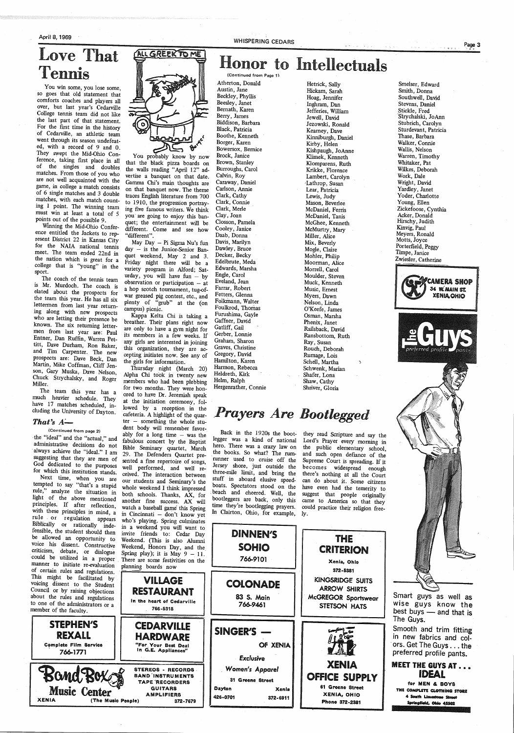April 8, 1969

## Love That Tennis

You win some, you lose some, so goes that old statement that comforts coaches and players all over, but last year's Cedarville College tennis team did not like the last part of that statement. For the first time in the history of Cedarville, an athletic team went through its season undefeated, with a record of 9 and 0. They swept the Mid-Ohio Conference, taking first place in all of the singles and doubles matches. From those of you who are not well acquainted with the game, in college a-match consists of 6 single matches and 3 double matches, with each match counting 1 point. The winning team must win at least a total of 5 points out of the possible 9.

Winning the Mid-Ohio Conference entitled the Jackets to rep-<br>resent District 22 in Kansas City for the NAIA national tennis meet. The team ended 22nd in the nation which is great for a college that is "young" in the sport.

The coach of the tennis team is Mr. Murdoch. The coach is elated about the prospects for the team this year. He has all six lettermen from last year returning along with new prospects who are letting their presence be known. The six returning lettermen from last year are: Paul Entner, Dan Ruffin, Warren Pettitt, Dave Durham, Ron Baker, and Tim Carpenter. The new prospects are: Dave Beck, Dan



You probably know by now that the black pizza boards on the walls reading "April 12" advertise a banquet on that date. Gamma Chi's main thoughts are on that banquet now. The theme traces English literature from 700 to 1910, the progression portraying five famous writers. We think you are going to enjoy this banquet; the entertainment will be different. Come and see how "different".

May Day - Pi Sigma Nu's fun day - is the Junior-Senior Banquet weekend, May 2 and 3. Friday night there will be a variety program in Alford; Saturday, you will have  $fun - by$ observation or participation  $-$  at a hop scotch tournament, tug-ofwar greased pig contest, etc., and plenty of "grub" at the (on campus) picnic.

Kappa Kelta Chi is taking a breather. Their plans right now<br>are only to have a gym night for its members in a few weeks. If any girls are interested in joining this organization, they are accepting initiates now. See any of

ter – something the whole stu-

### WHISPERING CEDARS

## Honor to Intellectuals

(Continued from Page 1)

Atherton, Donald Austin, Jane

Beckley, Phyllis Beesley, Janet Bernath, Karen Berry, James Biddison, Barbara Black, Patricia Boothe, Kenneth Borger, Karen Bowersox, Bernice Brock, Janice Brown, Stanley Burroughs, Carol Calvin, Roy Caraway, Daniel Carlson, Annie Clark, Cathy Clark, Connie \_ Clark, Merle Clay, Joan Closson, Pamela Cooley, Janice Daab, Donna Davis, Marilyn Dawley, Bruce Decker, Becky Edelbrute, Meda Edwards, Marsha Engle, Carol Eveland, Jean Farrar, Robert Fetters, Glenna Folkmann, Walter Foulkrod, Thomas Furushima, Gayle Gaffner, David Gatliff, Gail Gerber, Lonnie Graham, Sharon Graves, Christine Gregory, David



Hetrick, Sally Hickam, Sarah Hoag, Jennifer Inghram, Dan Jefferies, William Jewell, David Jezowski, Ronald Kearney, Dave Kinniburgh, Daniel Kirby, Helen Kishpaugh, JoAnne Klimek, Kenneth Klomparens, Ruth Krikke, Florence Lambert, Carolyn ,Lathrop, Susan Lear, Patricia Lewis, Judy Mason, Beverlee McDaniel, Ferris McDaniel, Tanis McGhee, Kenneth McMurtry, Mary Miller, Alice Mix, Beverly Mogle, Claire Mohler, Philip Moorman, Alice Morrell, Carol Moulder, Steven Muck, Kenneth Music, Ernest Myers, Dawn Nelson, Linda O'Keefe, James Osman, Marsha Phenix, Janet Railsback, David Ransbottom, Ruth Ray, Susan Rouch, Deborah Rumage, Lois



Smelser, Edward Smith, Donna Southwell, David Stevens, Daniel Stickle, Fred Strychalski, JoAnn Stubrich, Carolyn Sturdevant, Patricia Thase, Barbara Walker, Connie Wallis, Nelson Warren, Timothy Whitaker, Pat *Wtlkes,* Deborah Work, Dale Wright, David Yardley, Janet Yoder, Charlotte Young, Ellen Zickefoose, Cynthia Acker, Donald Hirschy, Judith Kinvig, Paul Meyers, Ronald Motts, Joyce Porterfield, Peggy Timpe, Janice Zwiesler, Catherine